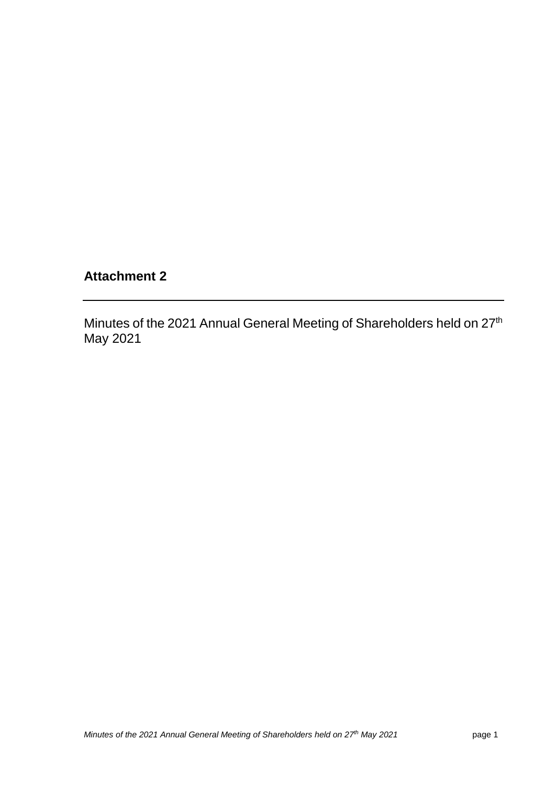# **Attachment 2**

Minutes of the 2021 Annual General Meeting of Shareholders held on 27<sup>th</sup> May 2021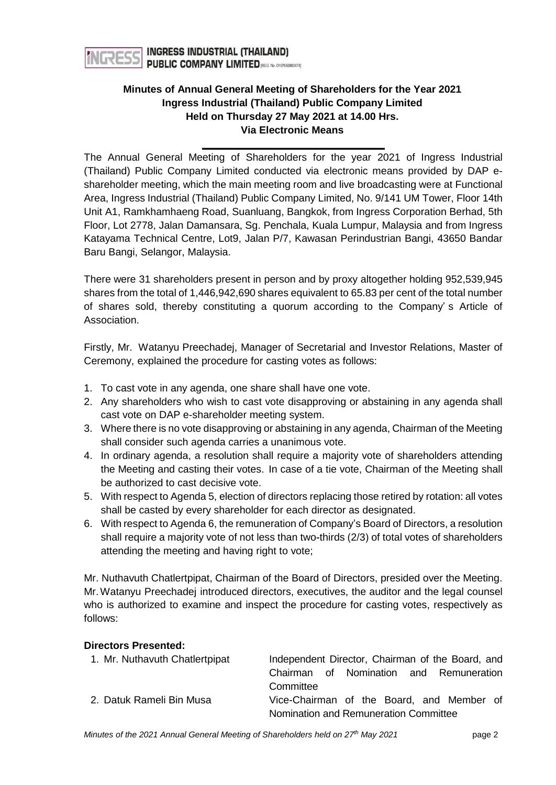

## **Minutes of Annual General Meeting of Shareholders for the Year 2021 Ingress Industrial (Thailand) Public Company Limited Held on Thursday 27 May 2021 at 14.00 Hrs. Via Electronic Means**

**\_\_\_\_\_\_\_\_\_\_\_\_\_\_\_\_\_\_\_\_\_\_\_\_\_\_\_\_\_\_\_\_**

The Annual General Meeting of Shareholders for the year 2021 of Ingress Industrial (Thailand) Public Company Limited conducted via electronic means provided by DAP eshareholder meeting, which the main meeting room and live broadcasting were at Functional Area, Ingress Industrial (Thailand) Public Company Limited, No. 9/141 UM Tower, Floor 14th Unit A1, Ramkhamhaeng Road, Suanluang, Bangkok, from Ingress Corporation Berhad, 5th Floor, Lot 2778, Jalan Damansara, Sg. Penchala, Kuala Lumpur, Malaysia and from Ingress Katayama Technical Centre, Lot9, Jalan P/7, Kawasan Perindustrian Bangi, 43650 Bandar Baru Bangi, Selangor, Malaysia.

There were 31 shareholders present in person and by proxy altogether holding 952,539,945 shares from the total of 1,446,942,690 shares equivalent to 65.83 per cent of the total number of shares sold, thereby constituting a quorum according to the Company' s Article of Association.

Firstly, Mr. Watanyu Preechadej, Manager of Secretarial and Investor Relations, Master of Ceremony, explained the procedure for casting votes as follows:

- 1. To cast vote in any agenda, one share shall have one vote.
- 2. Any shareholders who wish to cast vote disapproving or abstaining in any agenda shall cast vote on DAP e-shareholder meeting system.
- 3. Where there is no vote disapproving or abstaining in any agenda, Chairman of the Meeting shall consider such agenda carries a unanimous vote.
- 4. In ordinary agenda, a resolution shall require a majority vote of shareholders attending the Meeting and casting their votes. In case of a tie vote, Chairman of the Meeting shall be authorized to cast decisive vote.
- 5. With respect to Agenda 5, election of directors replacing those retired by rotation: all votes shall be casted by every shareholder for each director as designated.
- 6. With respect to Agenda 6, the remuneration of Company's Board of Directors, a resolution shall require a majority vote of not less than two-thirds (2/3) of total votes of shareholders attending the meeting and having right to vote;

Mr. Nuthavuth Chatlertpipat, Chairman of the Board of Directors, presided over the Meeting. Mr.Watanyu Preechadej introduced directors, executives, the auditor and the legal counsel who is authorized to examine and inspect the procedure for casting votes, respectively as follows:

#### **Directors Presented:**

| 1. Mr. Nuthavuth Chatlertpipat | Independent Director, Chairman of the Board, and |
|--------------------------------|--------------------------------------------------|
|                                | Chairman of Nomination and Remuneration          |
|                                | Committee                                        |
| 2. Datuk Rameli Bin Musa       | Vice-Chairman of the Board, and Member of        |
|                                | Nomination and Remuneration Committee            |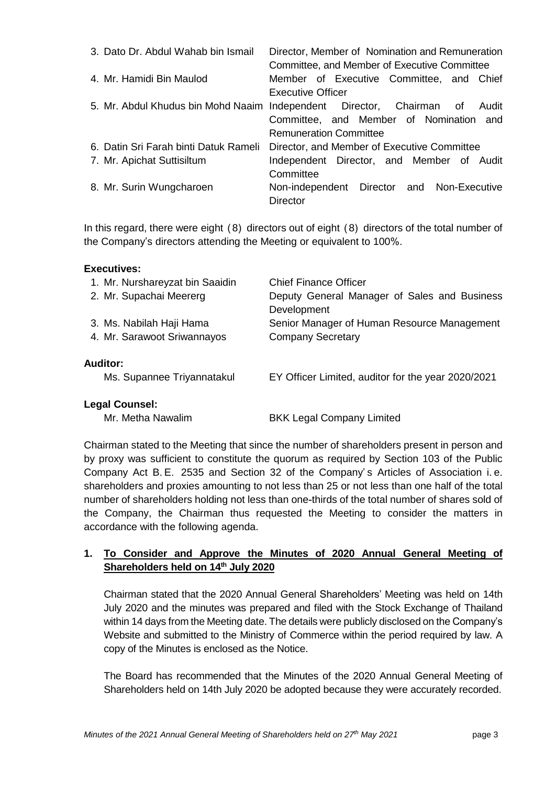| 3. Dato Dr. Abdul Wahab bin Ismail    | Director, Member of Nomination and Remuneration<br>Committee, and Member of Executive Committee |
|---------------------------------------|-------------------------------------------------------------------------------------------------|
| 4. Mr. Hamidi Bin Maulod              | Member of Executive Committee, and Chief                                                        |
|                                       | <b>Executive Officer</b>                                                                        |
|                                       | 5. Mr. Abdul Khudus bin Mohd Naaim Independent Director, Chairman of<br>Audit                   |
|                                       | Committee, and Member of Nomination and                                                         |
|                                       | <b>Remuneration Committee</b>                                                                   |
| 6. Datin Sri Farah binti Datuk Rameli | Director, and Member of Executive Committee                                                     |
| 7. Mr. Apichat Suttisiltum            | Independent Director, and Member of Audit                                                       |
|                                       | Committee                                                                                       |
| 8. Mr. Surin Wungcharoen              | Non-independent Director and Non-Executive                                                      |
|                                       | <b>Director</b>                                                                                 |

In this regard, there were eight (8) directors out of eight (8) directors of the total number of the Company's directors attending the Meeting or equivalent to 100%.

#### **Executives:**

| 1. Mr. Nurshareyzat bin Saaidin | <b>Chief Finance Officer</b>                                |
|---------------------------------|-------------------------------------------------------------|
| 2. Mr. Supachai Meererg         | Deputy General Manager of Sales and Business<br>Development |
| 3. Ms. Nabilah Haji Hama        | Senior Manager of Human Resource Management                 |
| 4. Mr. Sarawoot Sriwannayos     | <b>Company Secretary</b>                                    |
| <b>Auditor:</b>                 |                                                             |
| Ms. Supannee Triyannatakul      | EY Officer Limited, auditor for the year 2020/2021          |
| <b>Legal Counsel:</b>           |                                                             |
|                                 |                                                             |

Mr. Metha Nawalim BKK Legal Company Limited

Chairman stated to the Meeting that since the number of shareholders present in person and by proxy was sufficient to constitute the quorum as required by Section 103 of the Public Company Act B. E. 2535 and Section 32 of the Company' s Articles of Association i. e. shareholders and proxies amounting to not less than 25 or not less than one half of the total number of shareholders holding not less than one-thirds of the total number of shares sold of the Company, the Chairman thus requested the Meeting to consider the matters in accordance with the following agenda.

## **1. To Consider and Approve the Minutes of 2020 Annual General Meeting of Shareholders held on 14th July 2020**

Chairman stated that the 2020 Annual General Shareholders' Meeting was held on 14th July 2020 and the minutes was prepared and filed with the Stock Exchange of Thailand within 14 days from the Meeting date. The details were publicly disclosed on the Company's Website and submitted to the Ministry of Commerce within the period required by law. A copy of the Minutes is enclosed as the Notice.

The Board has recommended that the Minutes of the 2020 Annual General Meeting of Shareholders held on 14th July 2020 be adopted because they were accurately recorded.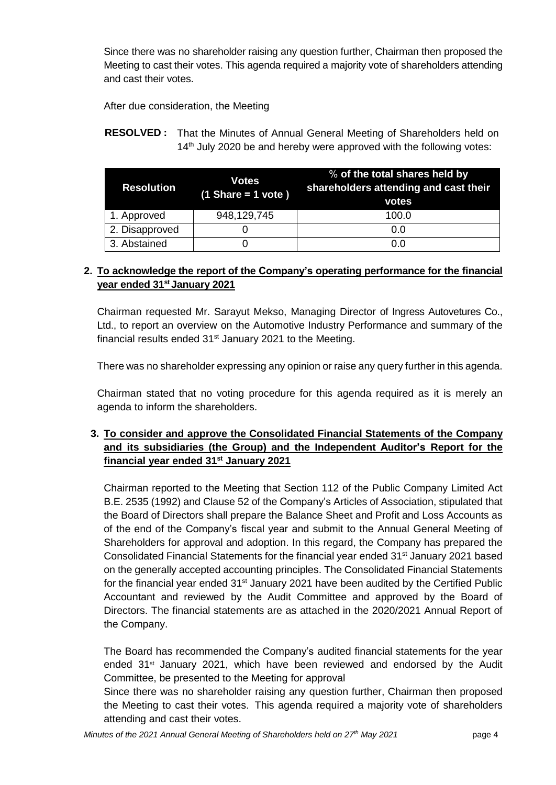Since there was no shareholder raising any question further, Chairman then proposed the Meeting to cast their votes. This agenda required a majority vote of shareholders attending and cast their votes.

After due consideration, the Meeting

**RESOLVED :** That the Minutes of Annual General Meeting of Shareholders held on  $14<sup>th</sup>$  July 2020 be and hereby were approved with the following votes:

| <b>Resolution</b> | <b>Votes</b><br>$(1$ Share = 1 vote) | % of the total shares held by<br>shareholders attending and cast their<br>votes |
|-------------------|--------------------------------------|---------------------------------------------------------------------------------|
| 1. Approved       | 948,129,745                          | 100.0                                                                           |
| 2. Disapproved    |                                      | 0.0                                                                             |
| 3. Abstained      |                                      | 0.0                                                                             |

## **2. To acknowledge the report of the Company's operating performance for the financial year ended 31st January 2021**

Chairman requested Mr. Sarayut Mekso, Managing Director of Ingress Autovetures Co., Ltd., to report an overview on the Automotive Industry Performance and summary of the financial results ended  $31<sup>st</sup>$  January 2021 to the Meeting.

There was no shareholder expressing any opinion or raise any query further in this agenda.

Chairman stated that no voting procedure for this agenda required as it is merely an agenda to inform the shareholders.

## **3. To consider and approve the Consolidated Financial Statements of the Company and its subsidiaries (the Group) and the Independent Auditor's Report for the financial year ended 31st January 2021**

Chairman reported to the Meeting that Section 112 of the Public Company Limited Act B.E. 2535 (1992) and Clause 52 of the Company's Articles of Association, stipulated that the Board of Directors shall prepare the Balance Sheet and Profit and Loss Accounts as of the end of the Company's fiscal year and submit to the Annual General Meeting of Shareholders for approval and adoption. In this regard, the Company has prepared the Consolidated Financial Statements for the financial year ended 31<sup>st</sup> January 2021 based on the generally accepted accounting principles. The Consolidated Financial Statements for the financial year ended  $31<sup>st</sup>$  January 2021 have been audited by the Certified Public Accountant and reviewed by the Audit Committee and approved by the Board of Directors. The financial statements are as attached in the 2020/2021 Annual Report of the Company.

The Board has recommended the Company's audited financial statements for the year ended  $31<sup>st</sup>$  January 2021, which have been reviewed and endorsed by the Audit Committee, be presented to the Meeting for approval

Since there was no shareholder raising any question further, Chairman then proposed the Meeting to cast their votes. This agenda required a majority vote of shareholders attending and cast their votes.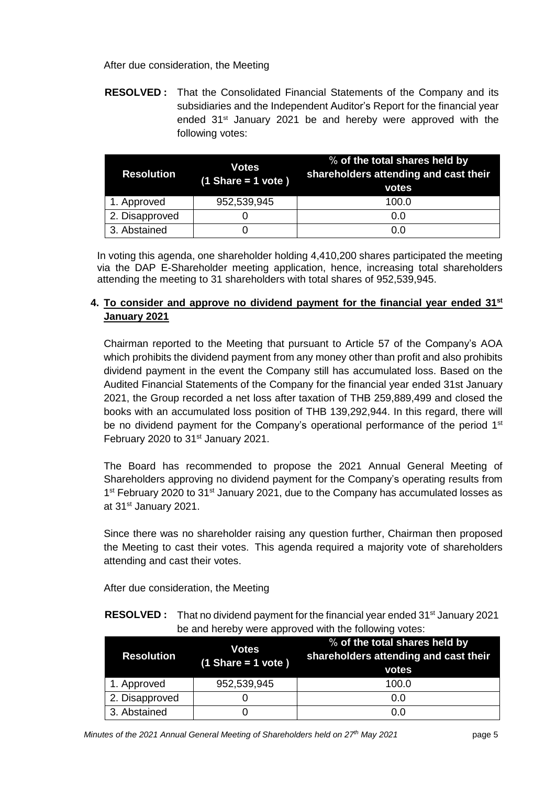#### After due consideration, the Meeting

**RESOLVED :** That the Consolidated Financial Statements of the Company and its subsidiaries and the Independent Auditor's Report for the financial year ended 31st January 2021 be and hereby were approved with the following votes:

| <b>Resolution</b> | <b>Votes</b><br>$(1$ Share = 1 vote) | % of the total shares held by<br>shareholders attending and cast their<br>votes |
|-------------------|--------------------------------------|---------------------------------------------------------------------------------|
| 1. Approved       | 952,539,945                          | 100.0                                                                           |
| 2. Disapproved    |                                      | 0.0                                                                             |
| 3. Abstained      |                                      | 0.0                                                                             |

In voting this agenda, one shareholder holding 4,410,200 shares participated the meeting via the DAP E-Shareholder meeting application, hence, increasing total shareholders attending the meeting to 31 shareholders with total shares of 952,539,945.

## **4. To consider and approve no dividend payment for the financial year ended 31st January 2021**

Chairman reported to the Meeting that pursuant to Article 57 of the Company's AOA which prohibits the dividend payment from any money other than profit and also prohibits dividend payment in the event the Company still has accumulated loss. Based on the Audited Financial Statements of the Company for the financial year ended 31st January 2021, the Group recorded a net loss after taxation of THB 259,889,499 and closed the books with an accumulated loss position of THB 139,292,944. In this regard, there will be no dividend payment for the Company's operational performance of the period 1<sup>st</sup> February 2020 to 31<sup>st</sup> January 2021.

The Board has recommended to propose the 2021 Annual General Meeting of Shareholders approving no dividend payment for the Company's operating results from 1<sup>st</sup> February 2020 to 31<sup>st</sup> January 2021, due to the Company has accumulated losses as at 31<sup>st</sup> January 2021.

Since there was no shareholder raising any question further, Chairman then proposed the Meeting to cast their votes. This agenda required a majority vote of shareholders attending and cast their votes.

After due consideration, the Meeting

**RESOLVED** : That no dividend payment for the financial year ended 31<sup>st</sup> January 2021 be and hereby were approved with the following votes:

| <b>Resolution</b> | <b>Votes</b><br>$(1$ Share = 1 vote) | % of the total shares held by<br>shareholders attending and cast their<br>votes |
|-------------------|--------------------------------------|---------------------------------------------------------------------------------|
| 1. Approved       | 952,539,945                          | 100.0                                                                           |
| 2. Disapproved    |                                      | 0.0                                                                             |
| 3. Abstained      |                                      | 0.0                                                                             |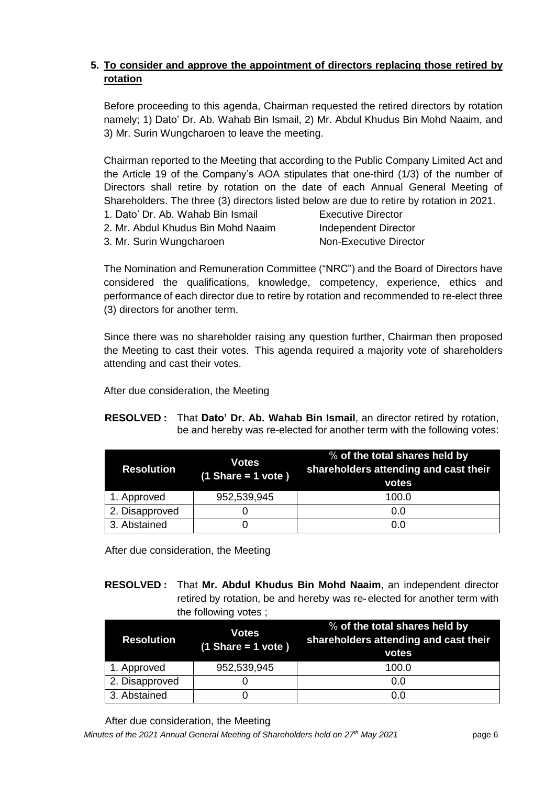# **5. To consider and approve the appointment of directors replacing those retired by rotation**

Before proceeding to this agenda, Chairman requested the retired directors by rotation namely; 1) Dato' Dr. Ab. Wahab Bin Ismail, 2) Mr. Abdul Khudus Bin Mohd Naaim, and 3) Mr. Surin Wungcharoen to leave the meeting.

Chairman reported to the Meeting that according to the Public Company Limited Act and the Article 19 of the Company's AOA stipulates that one-third (1/3) of the number of Directors shall retire by rotation on the date of each Annual General Meeting of Shareholders. The three (3) directors listed below are due to retire by rotation in 2021.

- 1. Dato' Dr. Ab. Wahab Bin Ismail Executive Director
- 2. Mr. Abdul Khudus Bin Mohd Naaim Independent Director
- 3. Mr. Surin Wungcharoen Non-Executive Director

The Nomination and Remuneration Committee ("NRC") and the Board of Directors have considered the qualifications, knowledge, competency, experience, ethics and performance of each director due to retire by rotation and recommended to re-elect three (3) directors for another term.

Since there was no shareholder raising any question further, Chairman then proposed the Meeting to cast their votes. This agenda required a majority vote of shareholders attending and cast their votes.

After due consideration, the Meeting

#### **RESOLVED :** That **Dato' Dr. Ab. Wahab Bin Ismail**, an director retired by rotation, be and hereby was re-elected for another term with the following votes:

| <b>Resolution</b> | <b>Votes</b><br>$(1$ Share = 1 vote) | % of the total shares held by<br>shareholders attending and cast their<br>votes |
|-------------------|--------------------------------------|---------------------------------------------------------------------------------|
| 1. Approved       | 952,539,945                          | 100.0                                                                           |
| 2. Disapproved    |                                      | 0.0                                                                             |
| 3. Abstained      |                                      | 0.0                                                                             |

After due consideration, the Meeting

#### **RESOLVED :** That **Mr. Abdul Khudus Bin Mohd Naaim**, an independent director retired by rotation, be and hereby was re- elected for another term with the following votes ;

| <b>Resolution</b> | <b>Votes</b><br>$(1$ Share = 1 vote) | % of the total shares held by<br>shareholders attending and cast their<br>votes |
|-------------------|--------------------------------------|---------------------------------------------------------------------------------|
| 1. Approved       | 952,539,945                          | 100.0                                                                           |
| 2. Disapproved    |                                      | 0.0                                                                             |
| 3. Abstained      |                                      | 0.0                                                                             |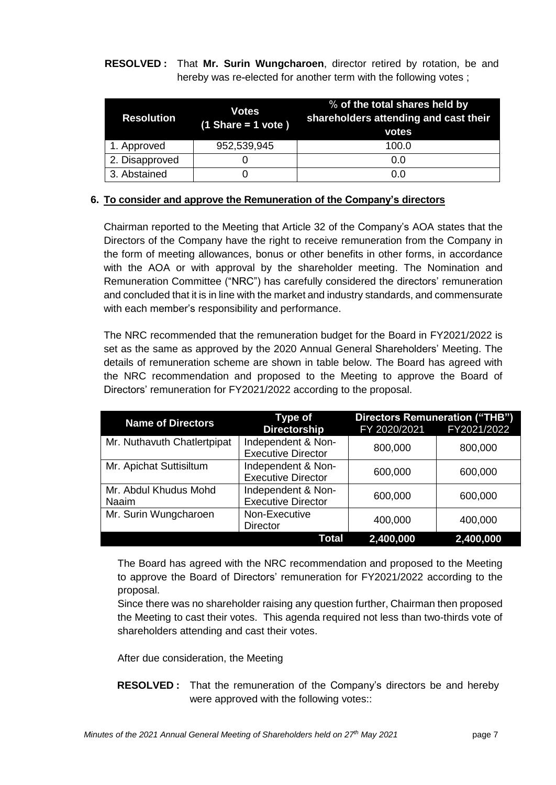**RESOLVED :** That **Mr. Surin Wungcharoen**, director retired by rotation, be and hereby was re-elected for another term with the following votes ;

| <b>Resolution</b> | <b>Votes</b><br>$(1$ Share = 1 vote) | % of the total shares held by<br>shareholders attending and cast their<br>votes |
|-------------------|--------------------------------------|---------------------------------------------------------------------------------|
| 1. Approved       | 952,539,945                          | 100.0                                                                           |
| 2. Disapproved    |                                      | 0.0                                                                             |
| 3. Abstained      |                                      | 0.0                                                                             |

#### **6. To consider and approve the Remuneration of the Company's directors**

Chairman reported to the Meeting that Article 32 of the Company's AOA states that the Directors of the Company have the right to receive remuneration from the Company in the form of meeting allowances, bonus or other benefits in other forms, in accordance with the AOA or with approval by the shareholder meeting. The Nomination and Remuneration Committee ("NRC") has carefully considered the directors' remuneration and concluded that it is in line with the market and industry standards, and commensurate with each member's responsibility and performance.

The NRC recommended that the remuneration budget for the Board in FY2021/2022 is set as the same as approved by the 2020 Annual General Shareholders' Meeting. The details of remuneration scheme are shown in table below. The Board has agreed with the NRC recommendation and proposed to the Meeting to approve the Board of Directors' remuneration for FY2021/2022 according to the proposal.

| <b>Name of Directors</b>       | <b>Directors Remuneration ("THB")</b><br><b>Type of</b> |              |             |
|--------------------------------|---------------------------------------------------------|--------------|-------------|
|                                | <b>Directorship</b>                                     | FY 2020/2021 | FY2021/2022 |
| Mr. Nuthavuth Chatlertpipat    | Independent & Non-<br><b>Executive Director</b>         | 800,000      | 800,000     |
| Mr. Apichat Suttisiltum        | Independent & Non-<br><b>Executive Director</b>         | 600,000      | 600,000     |
| Mr. Abdul Khudus Mohd<br>Naaim | Independent & Non-<br><b>Executive Director</b>         | 600,000      | 600,000     |
| Mr. Surin Wungcharoen          | Non-Executive<br><b>Director</b>                        | 400,000      | 400,000     |
|                                | Total                                                   | 2,400,000    | 2,400,000   |

The Board has agreed with the NRC recommendation and proposed to the Meeting to approve the Board of Directors' remuneration for FY2021/2022 according to the proposal.

Since there was no shareholder raising any question further, Chairman then proposed the Meeting to cast their votes. This agenda required not less than two-thirds vote of shareholders attending and cast their votes.

After due consideration, the Meeting

**RESOLVED :** That the remuneration of the Company's directors be and hereby were approved with the following votes::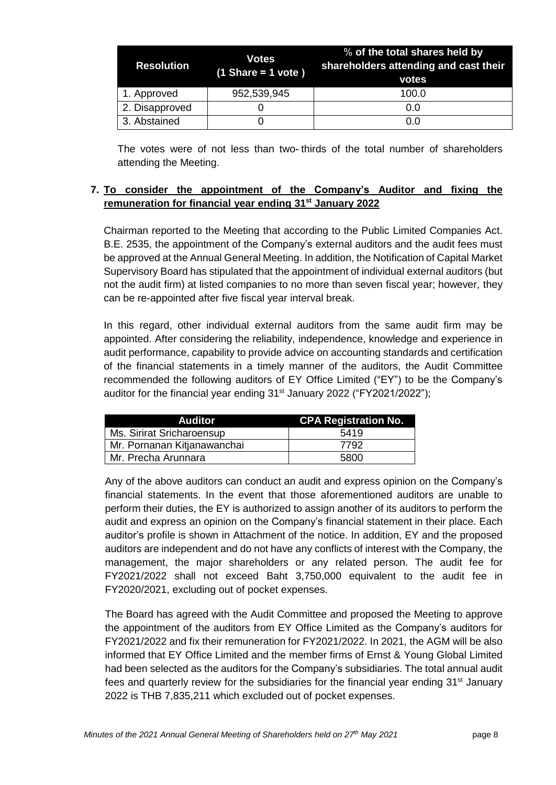| <b>Resolution</b> | Votes<br>$(1$ Share = 1 vote) | % of the total shares held by<br>shareholders attending and cast their<br>votes |
|-------------------|-------------------------------|---------------------------------------------------------------------------------|
| 1. Approved       | 952,539,945                   | 100.0                                                                           |
| 2. Disapproved    |                               | 0.0                                                                             |
| 3. Abstained      |                               | 0.0                                                                             |

The votes were of not less than two- thirds of the total number of shareholders attending the Meeting.

#### **7. To consider the appointment of the Company's Auditor and fixing the remuneration for financial year ending 31st January 2022**

Chairman reported to the Meeting that according to the Public Limited Companies Act. B.E. 2535, the appointment of the Company's external auditors and the audit fees must be approved at the Annual General Meeting. In addition, the Notification of Capital Market Supervisory Board has stipulated that the appointment of individual external auditors (but not the audit firm) at listed companies to no more than seven fiscal year; however, they can be re-appointed after five fiscal year interval break.

In this regard, other individual external auditors from the same audit firm may be appointed. After considering the reliability, independence, knowledge and experience in audit performance, capability to provide advice on accounting standards and certification of the financial statements in a timely manner of the auditors, the Audit Committee recommended the following auditors of EY Office Limited ("EY") to be the Company's auditor for the financial year ending  $31<sup>st</sup>$  January 2022 ("FY2021/2022");

| <b>Auditor</b>              | <b>CPA Registration No.</b> |
|-----------------------------|-----------------------------|
| Ms. Sirirat Sricharoensup   | 5419                        |
| Mr. Pornanan Kitjanawanchai | 7792                        |
| Mr. Precha Arunnara         | 5800                        |

Any of the above auditors can conduct an audit and express opinion on the Company's financial statements. In the event that those aforementioned auditors are unable to perform their duties, the EY is authorized to assign another of its auditors to perform the audit and express an opinion on the Company's financial statement in their place. Each auditor's profile is shown in Attachment of the notice. In addition, EY and the proposed auditors are independent and do not have any conflicts of interest with the Company, the management, the major shareholders or any related person. The audit fee for FY2021/2022 shall not exceed Baht 3,750,000 equivalent to the audit fee in FY2020/2021, excluding out of pocket expenses.

The Board has agreed with the Audit Committee and proposed the Meeting to approve the appointment of the auditors from EY Office Limited as the Company's auditors for FY2021/2022 and fix their remuneration for FY2021/2022. In 2021, the AGM will be also informed that EY Office Limited and the member firms of Ernst & Young Global Limited had been selected as the auditors for the Company's subsidiaries. The total annual audit fees and quarterly review for the subsidiaries for the financial year ending  $31<sup>st</sup>$  January 2022 is THB 7,835,211 which excluded out of pocket expenses.